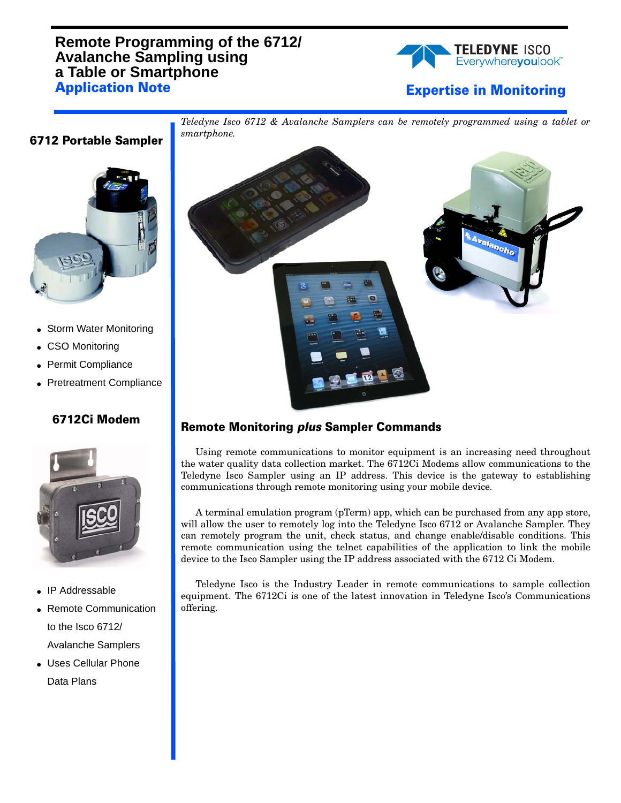## **Remote Programming of the 6712/ Avalanche Sampling using a Table or Smartphone Application Note**



## **Expertise in Monitoring**



**6712 Portable Sampler**

- Storm Water Monitoring
- CSO Monitoring
- Permit Compliance
- Pretreatment Compliance

## **6712Ci Modem**



- IP Addressable
- Remote Communication to the Isco 6712/ Avalanche Samplers
- Uses Cellular Phone Data Plans



*Teledyne Isco 6712 & Avalanche Samplers can be remotely programmed using a tablet or*

## **Remote Monitoring** *plus* **Sampler Commands**

Using remote communications to monitor equipment is an increasing need throughout the water quality data collection market. The 6712Ci Modems allow communications to the Teledyne Isco Sampler using an IP address. This device is the gateway to establishing communications through remote monitoring using your mobile device.

A terminal emulation program (pTerm) app, which can be purchased from any app store, will allow the user to remotely log into the Teledyne Isco 6712 or Avalanche Sampler. They can remotely program the unit, check status, and change enable/disable conditions. This remote communication using the telnet capabilities of the application to link the mobile device to the Isco Sampler using the IP address associated with the 6712 Ci Modem.

Teledyne Isco is the Industry Leader in remote communications to sample collection equipment. The 6712Ci is one of the latest innovation in Teledyne Isco's Communications offering.